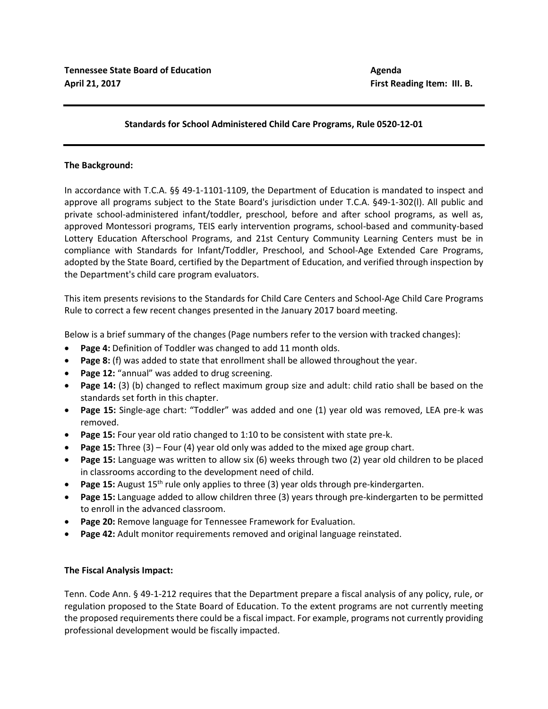## **Standards for School Administered Child Care Programs, Rule 0520-12-01**

## **The Background:**

In accordance with T.C.A. §§ 49-1-1101-1109, the Department of Education is mandated to inspect and approve all programs subject to the State Board's jurisdiction under T.C.A. §49-1-302(l). All public and private school-administered infant/toddler, preschool, before and after school programs, as well as, approved Montessori programs, TEIS early intervention programs, school-based and community-based Lottery Education Afterschool Programs, and 21st Century Community Learning Centers must be in compliance with Standards for Infant/Toddler, Preschool, and School-Age Extended Care Programs, adopted by the State Board, certified by the Department of Education, and verified through inspection by the Department's child care program evaluators.

This item presents revisions to the Standards for Child Care Centers and School-Age Child Care Programs Rule to correct a few recent changes presented in the January 2017 board meeting.

Below is a brief summary of the changes (Page numbers refer to the version with tracked changes):

- **Page 4:** Definition of Toddler was changed to add 11 month olds.
- **Page 8:** (f) was added to state that enrollment shall be allowed throughout the year.
- **Page 12:** "annual" was added to drug screening.
- **Page 14:** (3) (b) changed to reflect maximum group size and adult: child ratio shall be based on the standards set forth in this chapter.
- **Page 15:** Single-age chart: "Toddler" was added and one (1) year old was removed, LEA pre-k was removed.
- **Page 15:** Four year old ratio changed to 1:10 to be consistent with state pre-k.
- **Page 15:** Three (3) Four (4) year old only was added to the mixed age group chart.
- **Page 15:** Language was written to allow six (6) weeks through two (2) year old children to be placed in classrooms according to the development need of child.
- Page 15: August 15<sup>th</sup> rule only applies to three (3) year olds through pre-kindergarten.
- **Page 15:** Language added to allow children three (3) years through pre-kindergarten to be permitted to enroll in the advanced classroom.
- **Page 20:** Remove language for Tennessee Framework for Evaluation.
- **Page 42:** Adult monitor requirements removed and original language reinstated.

## **The Fiscal Analysis Impact:**

Tenn. Code Ann. § 49-1-212 requires that the Department prepare a fiscal analysis of any policy, rule, or regulation proposed to the State Board of Education. To the extent programs are not currently meeting the proposed requirements there could be a fiscal impact. For example, programs not currently providing professional development would be fiscally impacted.